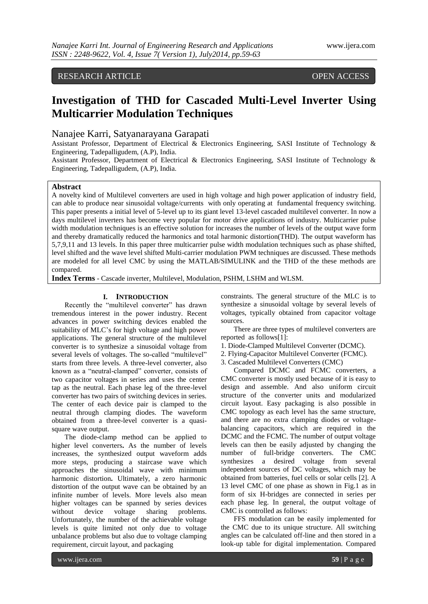# RESEARCH ARTICLE OPEN ACCESS

# **Investigation of THD for Cascaded Multi-Level Inverter Using Multicarrier Modulation Techniques**

# Nanajee Karri, Satyanarayana Garapati

Assistant Professor, Department of Electrical & Electronics Engineering, SASI Institute of Technology & Engineering, Tadepalligudem, (A.P), India.

Assistant Professor, Department of Electrical & Electronics Engineering, SASI Institute of Technology & Engineering, Tadepalligudem, (A.P), India.

### **Abstract**

A novelty kind of Multilevel converters are used in high voltage and high power application of industry field, can able to produce near sinusoidal voltage/currents with only operating at fundamental frequency switching. This paper presents a initial level of 5-level up to its giant level 13-level cascaded multilevel converter. In now a days multilevel inverters has become very popular for motor drive applications of industry. Multicarrier pulse width modulation techniques is an effective solution for increases the number of levels of the output wave form and thereby dramatically reduced the harmonics and total harmonic distortion(THD). The output waveform has 5,7,9,11 and 13 levels. In this paper three multicarrier pulse width modulation techniques such as phase shifted, level shifted and the wave level shifted Multi-carrier modulation PWM techniques are discussed. These methods are modeled for all level CMC by using the MATLAB/SIMULINK and the THD of the these methods are compared.

**Index Terms** - Cascade inverter, Multilevel, Modulation, PSHM, LSHM and WLSM.

### **I. INTRODUCTION**

Recently the "multilevel converter" has drawn tremendous interest in the power industry. Recent advances in power switching devices enabled the suitability of MLC's for high voltage and high power applications. The general structure of the multilevel converter is to synthesize a sinusoidal voltage from several levels of voltages. The so-called "multilevel" starts from three levels. A three-level converter, also known as a "neutral-clamped" converter, consists of two capacitor voltages in series and uses the center tap as the neutral. Each phase leg of the three-level converter has two pairs of switching devices in series. The center of each device pair is clamped to the neutral through clamping diodes. The waveform obtained from a three-level converter is a quasisquare wave output.

The diode-clamp method can be applied to higher level converters**.** As the number of levels increases, the synthesized output waveform adds more steps, producing a staircase wave which approaches the sinusoidal wave with minimum harmonic distortion**.** Ultimately, a zero harmonic distortion of the output wave can be obtained by an infinite number of levels. More levels also mean higher voltages can be spanned by series devices without device voltage sharing problems. Unfortunately, the number of the achievable voltage levels is quite limited not only due to voltage unbalance problems but also due to voltage clamping requirement, circuit layout, and packaging

constraints. The general structure of the MLC is to synthesize a sinusoidal voltage by several levels of voltages, typically obtained from capacitor voltage sources.

There are three types of multilevel converters are reported as follows[1]:

- 1. Diode-Clamped Multilevel Converter (DCMC).
- 2. Flying-Capacitor Multilevel Converter (FCMC).
- 3. Cascaded Multilevel Converters (CMC)

Compared DCMC and FCMC converters, a CMC converter is mostly used because of it is easy to design and assemble. And also uniform circuit structure of the converter units and modularized circuit layout. Easy packaging is also possible in CMC topology as each level has the same structure, and there are no extra clamping diodes or voltagebalancing capacitors, which are required in the DCMC and the FCMC. The number of output voltage levels can then be easily adjusted by changing the number of full-bridge converters. The CMC synthesizes a desired voltage from several independent sources of DC voltages, which may be obtained from batteries, fuel cells or solar cells [2]. A 13 level CMC of one phase as shown in Fig.1 as in form of six H-bridges are connected in series per each phase leg. In general, the output voltage of CMC is controlled as follows:

FFS modulation can be easily implemented for the CMC due to its unique structure. All switching angles can be calculated off-line and then stored in a look-up table for digital implementation. Compared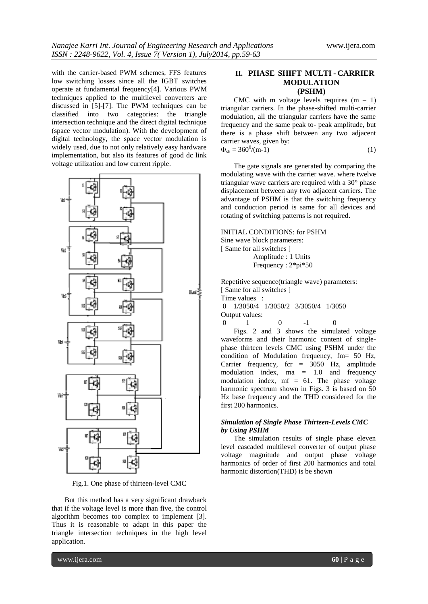with the carrier-based PWM schemes, FFS features low switching losses since all the IGBT switches operate at fundamental frequency[4]. Various PWM techniques applied to the multilevel converters are discussed in [5]-[7]. The PWM techniques can be classified into two categories: the triangle intersection technique and the direct digital technique (space vector modulation). With the development of digital technology, the space vector modulation is widely used, due to not only relatively easy hardware implementation, but also its features of good dc link voltage utilization and low current ripple.



Fig.1. One phase of thirteen-level CMC

But this method has a very significant drawback that if the voltage level is more than five, the control algorithm becomes too complex to implement [3]. Thus it is reasonable to adapt in this paper the triangle intersection techniques in the high level application.

# **II. PHASE SHIFT MULTI - CARRIER MODULATION (PSHM)**

CMC with m voltage levels requires  $(m - 1)$ triangular carriers. In the phase-shifted multi-carrier modulation, all the triangular carriers have the same frequency and the same peak to- peak amplitude, but there is a phase shift between any two adjacent carrier waves, given by:  $\Phi$ 

$$
D_{\rm sh} = 360^0 / (\text{m-1})
$$
 (1)

The gate signals are generated by comparing the modulating wave with the carrier wave. where twelve triangular wave carriers are required with a 30° phase displacement between any two adjacent carriers. The advantage of PSHM is that the switching frequency and conduction period is same for all devices and rotating of switching patterns is not required.

### INITIAL CONDITIONS: for PSHM

Sine wave block parameters:

[ Same for all switches ] Amplitude : 1 Units Frequency : 2\*pi\*50

Repetitive sequence(triangle wave) parameters: [ Same for all switches ] Time values :

0 1/3050/4 1/3050/2 3/3050/4 1/3050 Output values:

0 1 0 -1 0 Figs. 2 and 3 shows the simulated voltage waveforms and their harmonic content of singlephase thirteen levels CMC using PSHM under the condition of Modulation frequency, fm= 50 Hz, Carrier frequency, fcr = 3050 Hz, amplitude modulation index, ma = 1.0 and frequency modulation index,  $mf = 61$ . The phase voltage harmonic spectrum shown in Figs. 3 is based on 50 Hz base frequency and the THD considered for the first 200 harmonics.

# *Simulation of Single Phase Thirteen-Levels CMC by Using PSHM*

The simulation results of single phase eleven level cascaded multilevel converter of output phase voltage magnitude and output phase voltage harmonics of order of first 200 harmonics and total harmonic distortion(THD) is be shown

www.ijera.com **60** | P a g e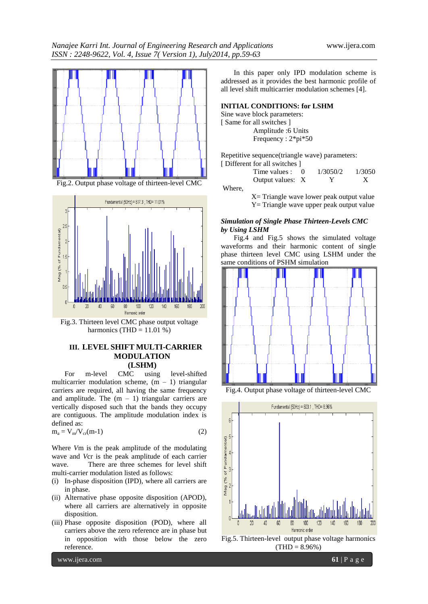

Fig.2. Output phase voltage of thirteen-level CMC





# **III. LEVEL SHIFT MULTI-CARRIER MODULATION (LSHM)**

For m-level CMC using level-shifted multicarrier modulation scheme,  $(m - 1)$  triangular carriers are required, all having the same frequency and amplitude. The  $(m - 1)$  triangular carriers are vertically disposed such that the bands they occupy are contiguous. The amplitude modulation index is defined as:

$$
m_a = V_m / V_{cr}(m-1)
$$
 (2)

Where *V*m is the peak amplitude of the modulating wave and *V*cr is the peak amplitude of each carrier wave. There are three schemes for level shift multi-carrier modulation listed as follows:

- (i) In-phase disposition (IPD), where all carriers are in phase.
- (ii) Alternative phase opposite disposition (APOD), where all carriers are alternatively in opposite disposition.
- (iii) Phase opposite disposition (POD), where all carriers above the zero reference are in phase but in opposition with those below the zero reference.

In this paper only IPD modulation scheme is addressed as it provides the best harmonic profile of all level shift multicarrier modulation schemes [4].

# **INITIAL CONDITIONS: for LSHM**

Sine wave block parameters: [ Same for all switches ] Amplitude :6 Units Frequency : 2\*pi\*50

Repetitive sequence(triangle wave) parameters: [ Different for all switches ]

| Time values : $\qquad0$ | 1/3050/2 | 1/3050 |
|-------------------------|----------|--------|
| Output values: X        |          |        |

Where,

 X= Triangle wave lower peak output value Y= Triangle wave upper peak output value

### *Simulation of Single Phase Thirteen-Levels CMC by Using LSHM*

Fig.4 and Fig.5 shows the simulated voltage waveforms and their harmonic content of single phase thirteen level CMC using LSHM under the same conditions of PSHM simulation



Fig.4. Output phase voltage of thirteen-level CMC





www.ijera.com **61** | P a g e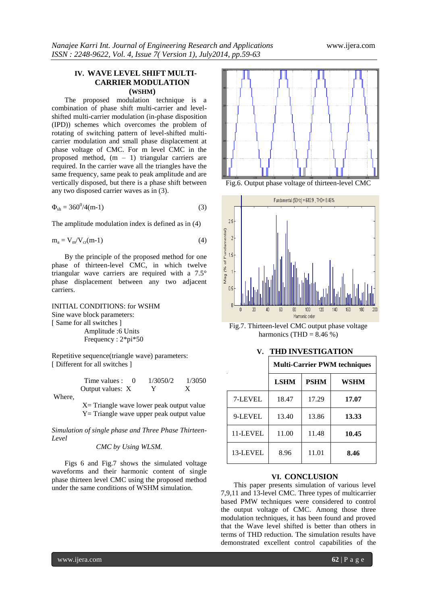# **IV. WAVE LEVEL SHIFT MULTI-CARRIER MODULATION (WSHM)**

The proposed modulation technique is a combination of phase shift multi-carrier and levelshifted multi-carrier modulation (in-phase disposition (IPD)) schemes which overcomes the problem of rotating of switching pattern of level-shifted multicarrier modulation and small phase displacement at phase voltage of CMC. For m level CMC in the proposed method, (m – 1) triangular carriers are required. In the carrier wave all the triangles have the same frequency, same peak to peak amplitude and are vertically disposed, but there is a phase shift between any two disposed carrier waves as in (3).

$$
\Phi_{\rm sh} = 360^0/4(\text{m-1})\tag{3}
$$

The amplitude modulation index is defined as in (4)

$$
m_a = V_m / V_{cr}(m-1)
$$
 (4)

By the principle of the proposed method for one phase of thirteen-level CMC, in which twelve triangular wave carriers are required with a 7.5° phase displacement between any two adjacent carriers.

INITIAL CONDITIONS: for WSHM Sine wave block parameters: [ Same for all switches ] Amplitude :6 Units Frequency : 2\*pi\*50

Repetitive sequence(triangle wave) parameters: [ Different for all switches ]

> Time values : 0 1/3050/2 1/3050 Output values: X Y X

Where,

 X= Triangle wave lower peak output value Y= Triangle wave upper peak output value

*Simulation of single phase and Three Phase Thirteen-Level*

#### *CMC by Using WLSM.*

Figs 6 and Fig.7 shows the simulated voltage waveforms and their harmonic content of single phase thirteen level CMC using the proposed method under the same conditions of WSHM simulation.







Fig.7. Thirteen-level CMC output phase voltage harmonics (THD  $= 8.46 \%$ )

| V | <b>THD INVESTIGATION</b> |  |
|---|--------------------------|--|
|   |                          |  |

|          | <b>Multi-Carrier PWM techniques</b> |             |       |  |  |
|----------|-------------------------------------|-------------|-------|--|--|
|          | <b>LSHM</b>                         | <b>PSHM</b> | WSHM  |  |  |
| 7-LEVEL  | 18.47                               | 17.29       | 17.07 |  |  |
| 9-LEVEL  | 13.40                               | 13.86       | 13.33 |  |  |
| 11-LEVEL | 11.00                               | 11.48       | 10.45 |  |  |
| 13-LEVEL | 8.96                                | 11.01       | 8.46  |  |  |

# **VI. CONCLUSION**

This paper presents simulation of various level 7,9,11 and 13-level CMC. Three types of multicarrier based PMW techniques were considered to control the output voltage of CMC. Among those three modulation techniques, it has been found and proved that the Wave level shifted is better than others in terms of THD reduction. The simulation results have demonstrated excellent control capabilities of the